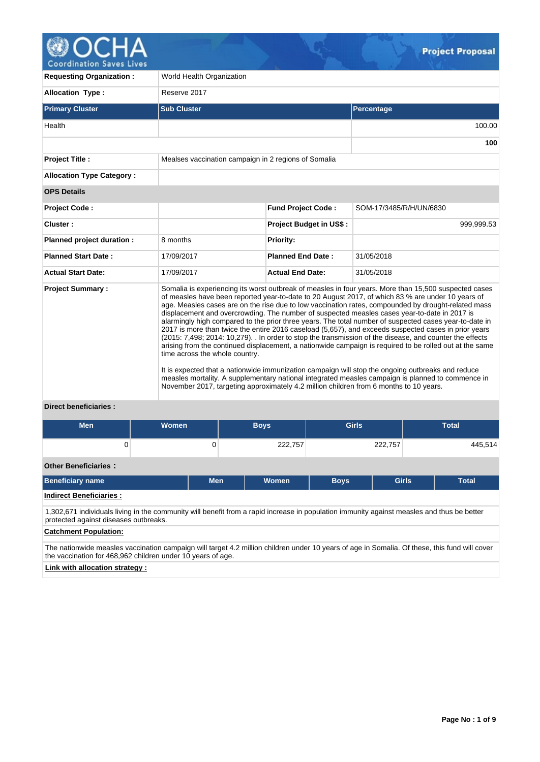

| <b>Requesting Organization:</b>                                 | World Health Organization                            |                                                                                                                                                                                                                                                                                                                                                                                                                                                                                                                                                                                                                                                                                                                                                                                                                                                                                                                                                                                                                                                                                                                                                                |                         |  |  |  |  |  |
|-----------------------------------------------------------------|------------------------------------------------------|----------------------------------------------------------------------------------------------------------------------------------------------------------------------------------------------------------------------------------------------------------------------------------------------------------------------------------------------------------------------------------------------------------------------------------------------------------------------------------------------------------------------------------------------------------------------------------------------------------------------------------------------------------------------------------------------------------------------------------------------------------------------------------------------------------------------------------------------------------------------------------------------------------------------------------------------------------------------------------------------------------------------------------------------------------------------------------------------------------------------------------------------------------------|-------------------------|--|--|--|--|--|
| <b>Allocation Type:</b>                                         | Reserve 2017                                         |                                                                                                                                                                                                                                                                                                                                                                                                                                                                                                                                                                                                                                                                                                                                                                                                                                                                                                                                                                                                                                                                                                                                                                |                         |  |  |  |  |  |
| <b>Primary Cluster</b>                                          | <b>Sub Cluster</b>                                   |                                                                                                                                                                                                                                                                                                                                                                                                                                                                                                                                                                                                                                                                                                                                                                                                                                                                                                                                                                                                                                                                                                                                                                | Percentage              |  |  |  |  |  |
| Health                                                          |                                                      |                                                                                                                                                                                                                                                                                                                                                                                                                                                                                                                                                                                                                                                                                                                                                                                                                                                                                                                                                                                                                                                                                                                                                                | 100.00                  |  |  |  |  |  |
|                                                                 |                                                      |                                                                                                                                                                                                                                                                                                                                                                                                                                                                                                                                                                                                                                                                                                                                                                                                                                                                                                                                                                                                                                                                                                                                                                | 100                     |  |  |  |  |  |
| Project Title :                                                 | Mealses vaccination campaign in 2 regions of Somalia |                                                                                                                                                                                                                                                                                                                                                                                                                                                                                                                                                                                                                                                                                                                                                                                                                                                                                                                                                                                                                                                                                                                                                                |                         |  |  |  |  |  |
| <b>Allocation Type Category:</b>                                |                                                      |                                                                                                                                                                                                                                                                                                                                                                                                                                                                                                                                                                                                                                                                                                                                                                                                                                                                                                                                                                                                                                                                                                                                                                |                         |  |  |  |  |  |
| <b>OPS Details</b>                                              |                                                      |                                                                                                                                                                                                                                                                                                                                                                                                                                                                                                                                                                                                                                                                                                                                                                                                                                                                                                                                                                                                                                                                                                                                                                |                         |  |  |  |  |  |
| <b>Project Code:</b>                                            |                                                      | <b>Fund Project Code:</b>                                                                                                                                                                                                                                                                                                                                                                                                                                                                                                                                                                                                                                                                                                                                                                                                                                                                                                                                                                                                                                                                                                                                      | SOM-17/3485/R/H/UN/6830 |  |  |  |  |  |
| Cluster:                                                        |                                                      | <b>Project Budget in US\$:</b>                                                                                                                                                                                                                                                                                                                                                                                                                                                                                                                                                                                                                                                                                                                                                                                                                                                                                                                                                                                                                                                                                                                                 | 999,999.53              |  |  |  |  |  |
| Planned project duration :                                      | 8 months                                             | <b>Priority:</b>                                                                                                                                                                                                                                                                                                                                                                                                                                                                                                                                                                                                                                                                                                                                                                                                                                                                                                                                                                                                                                                                                                                                               |                         |  |  |  |  |  |
| <b>Planned Start Date:</b>                                      | 17/09/2017                                           | <b>Planned End Date:</b>                                                                                                                                                                                                                                                                                                                                                                                                                                                                                                                                                                                                                                                                                                                                                                                                                                                                                                                                                                                                                                                                                                                                       | 31/05/2018              |  |  |  |  |  |
| <b>Actual Start Date:</b>                                       | 17/09/2017                                           | <b>Actual End Date:</b>                                                                                                                                                                                                                                                                                                                                                                                                                                                                                                                                                                                                                                                                                                                                                                                                                                                                                                                                                                                                                                                                                                                                        | 31/05/2018              |  |  |  |  |  |
| <b>Project Summary:</b><br>Police and the control of a families | time across the whole country.                       | Somalia is experiencing its worst outbreak of measles in four years. More than 15,500 suspected cases<br>of measles have been reported year-to-date to 20 August 2017, of which 83 % are under 10 years of<br>age. Measles cases are on the rise due to low vaccination rates, compounded by drought-related mass<br>displacement and overcrowding. The number of suspected measles cases year-to-date in 2017 is<br>alarmingly high compared to the prior three years. The total number of suspected cases year-to-date in<br>2017 is more than twice the entire 2016 caseload (5,657), and exceeds suspected cases in prior years<br>(2015: 7,498; 2014: 10,279). . In order to stop the transmission of the disease, and counter the effects<br>arising from the continued displacement, a nationwide campaign is required to be rolled out at the same<br>It is expected that a nationwide immunization campaign will stop the ongoing outbreaks and reduce<br>measles mortality. A supplementary national integrated measles campaign is planned to commence in<br>November 2017, targeting approximately 4.2 million children from 6 months to 10 years. |                         |  |  |  |  |  |

# **Direct beneficiaries :**

| <b>Men</b>                                                                                                                                                                                                   | Women |            | <b>Boys</b> | <b>Girls</b> |              | <b>Total</b> |  |  |  |
|--------------------------------------------------------------------------------------------------------------------------------------------------------------------------------------------------------------|-------|------------|-------------|--------------|--------------|--------------|--|--|--|
| 0                                                                                                                                                                                                            |       | 0          | 222,757     |              | 222.757      | 445,514      |  |  |  |
| <b>Other Beneficiaries:</b>                                                                                                                                                                                  |       |            |             |              |              |              |  |  |  |
| <b>Beneficiary name</b>                                                                                                                                                                                      |       | <b>Men</b> | Women       | <b>Boys</b>  | <b>Girls</b> | <b>Total</b> |  |  |  |
| <b>Indirect Beneficiaries:</b>                                                                                                                                                                               |       |            |             |              |              |              |  |  |  |
| 1,302,671 individuals living in the community will benefit from a rapid increase in population immunity against measles and thus be better<br>protected against diseases outbreaks.                          |       |            |             |              |              |              |  |  |  |
| <b>Catchment Population:</b>                                                                                                                                                                                 |       |            |             |              |              |              |  |  |  |
| The nationwide measles vaccination campaign will target 4.2 million children under 10 years of age in Somalia. Of these, this fund will cover<br>the vaccination for 468,962 children under 10 years of age. |       |            |             |              |              |              |  |  |  |
| Link with allocation strategy                                                                                                                                                                                |       |            |             |              |              |              |  |  |  |

**Link with allocation strategy :**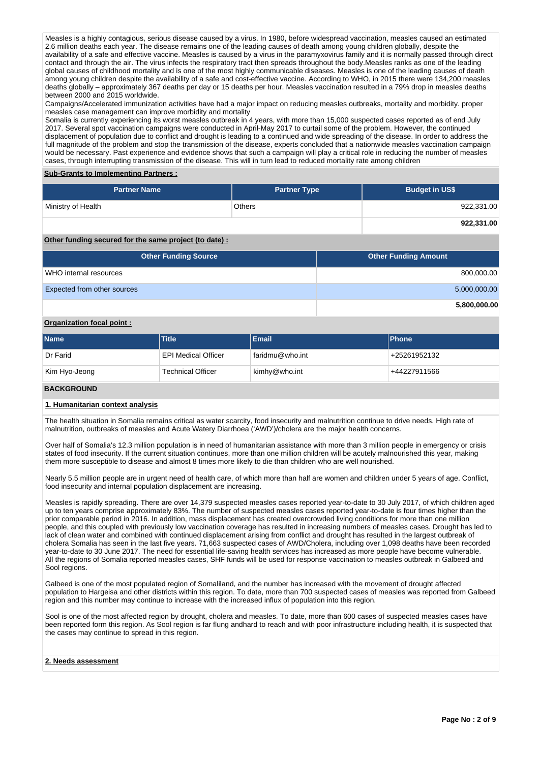Measles is a highly contagious, serious disease caused by a virus. In 1980, before widespread vaccination, measles caused an estimated 2.6 million deaths each year. The disease remains one of the leading causes of death among young children globally, despite the availability of a safe and effective vaccine. Measles is caused by a virus in the paramyxovirus family and it is normally passed through direct contact and through the air. The virus infects the respiratory tract then spreads throughout the body.Measles ranks as one of the leading global causes of childhood mortality and is one of the most highly communicable diseases. Measles is one of the leading causes of death among young children despite the availability of a safe and cost-effective vaccine. According to WHO, in 2015 there were 134,200 measles deaths globally – approximately 367 deaths per day or 15 deaths per hour. Measles vaccination resulted in a 79% drop in measles deaths between 2000 and 2015 worldwide.

Campaigns/Accelerated immunization activities have had a major impact on reducing measles outbreaks, mortality and morbidity. proper measles case management can improve morbidity and mortality

Somalia is currently experiencing its worst measles outbreak in 4 years, with more than 15,000 suspected cases reported as of end July 2017. Several spot vaccination campaigns were conducted in April-May 2017 to curtail some of the problem. However, the continued displacement of population due to conflict and drought is leading to a continued and wide spreading of the disease. In order to address the full magnitude of the problem and stop the transmission of the disease, experts concluded that a nationwide measles vaccination campaign would be necessary. Past experience and evidence shows that such a campaign will play a critical role in reducing the number of measles cases, through interrupting transmission of the disease. This will in turn lead to reduced mortality rate among children

### **Sub-Grants to Implementing Partners :**

| <b>Partner Name</b> | <b>Partner Type</b> | <b>Budget in US\$</b> |
|---------------------|---------------------|-----------------------|
| Ministry of Health  | <b>Others</b>       | 922,331.00            |
|                     |                     | 922,331.00            |

## **Other funding secured for the same project (to date) :**

| <b>Other Funding Source</b> | <b>Other Funding Amount</b> |
|-----------------------------|-----------------------------|
| WHO internal resources      | 800,000.00                  |
| Expected from other sources | 5,000,000.00                |
|                             | 5,800,000.00                |

### **Organization focal point :**

| <b>Name</b>   | <b>Title</b>             | <b>Email</b>    | <b>Phone</b> |
|---------------|--------------------------|-----------------|--------------|
| Dr Farid      | EPI Medical Officer      | faridmu@who.int | +25261952132 |
| Kim Hyo-Jeong | <b>Technical Officer</b> | kimhy@who.int   | +44227911566 |

### **BACKGROUND**

#### **1. Humanitarian context analysis**

The health situation in Somalia remains critical as water scarcity, food insecurity and malnutrition continue to drive needs. High rate of malnutrition, outbreaks of measles and Acute Watery Diarrhoea ('AWD')/cholera are the major health concerns.

Over half of Somalia's 12.3 million population is in need of humanitarian assistance with more than 3 million people in emergency or crisis states of food insecurity. If the current situation continues, more than one million children will be acutely malnourished this year, making them more susceptible to disease and almost 8 times more likely to die than children who are well nourished.

Nearly 5.5 million people are in urgent need of health care, of which more than half are women and children under 5 years of age. Conflict, food insecurity and internal population displacement are increasing.

Measles is rapidly spreading. There are over 14,379 suspected measles cases reported year-to-date to 30 July 2017, of which children aged up to ten years comprise approximately 83%. The number of suspected measles cases reported year-to-date is four times higher than the prior comparable period in 2016. In addition, mass displacement has created overcrowded living conditions for more than one million people, and this coupled with previously low vaccination coverage has resulted in increasing numbers of measles cases. Drought has led to lack of clean water and combined with continued displacement arising from conflict and drought has resulted in the largest outbreak of cholera Somalia has seen in the last five years. 71,663 suspected cases of AWD/Cholera, including over 1,098 deaths have been recorded year-to-date to 30 June 2017. The need for essential life-saving health services has increased as more people have become vulnerable. All the regions of Somalia reported measles cases, SHF funds will be used for response vaccination to measles outbreak in Galbeed and Sool regions.

Galbeed is one of the most populated region of Somaliland, and the number has increased with the movement of drought affected population to Hargeisa and other districts within this region. To date, more than 700 suspected cases of measles was reported from Galbeed region and this number may continue to increase with the increased influx of population into this region.

Sool is one of the most affected region by drought, cholera and measles. To date, more than 600 cases of suspected measles cases have been reported form this region. As Sool region is far flung andhard to reach and with poor infrastructure including health, it is suspected that the cases may continue to spread in this region.

### **2. Needs assessment**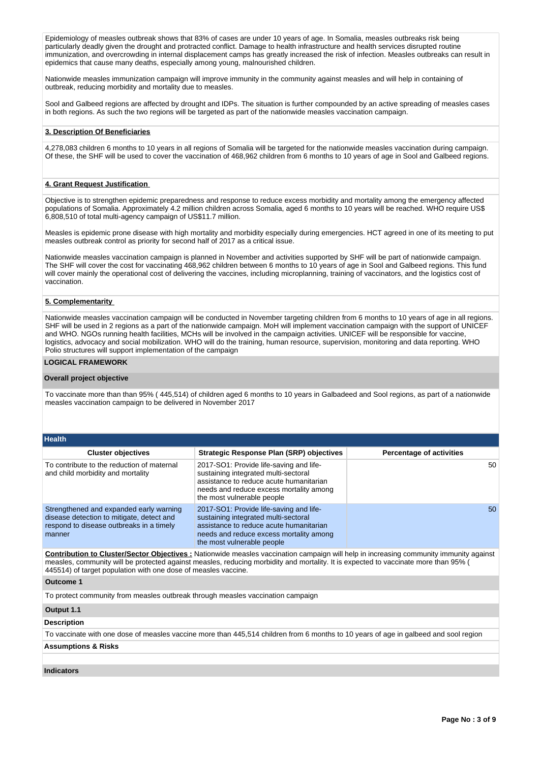Epidemiology of measles outbreak shows that 83% of cases are under 10 years of age. In Somalia, measles outbreaks risk being particularly deadly given the drought and protracted conflict. Damage to health infrastructure and health services disrupted routine immunization, and overcrowding in internal displacement camps has greatly increased the risk of infection. Measles outbreaks can result in epidemics that cause many deaths, especially among young, malnourished children.

Nationwide measles immunization campaign will improve immunity in the community against measles and will help in containing of outbreak, reducing morbidity and mortality due to measles.

Sool and Galbeed regions are affected by drought and IDPs. The situation is further compounded by an active spreading of measles cases in both regions. As such the two regions will be targeted as part of the nationwide measles vaccination campaign.

### **3. Description Of Beneficiaries**

4,278,083 children 6 months to 10 years in all regions of Somalia will be targeted for the nationwide measles vaccination during campaign. Of these, the SHF will be used to cover the vaccination of 468,962 children from 6 months to 10 years of age in Sool and Galbeed regions.

### **4. Grant Request Justification**

Objective is to strengthen epidemic preparedness and response to reduce excess morbidity and mortality among the emergency affected populations of Somalia. Approximately 4.2 million children across Somalia, aged 6 months to 10 years will be reached. WHO require US\$ 6,808,510 of total multi-agency campaign of US\$11.7 million.

Measles is epidemic prone disease with high mortality and morbidity especially during emergencies. HCT agreed in one of its meeting to put measles outbreak control as priority for second half of 2017 as a critical issue.

Nationwide measles vaccination campaign is planned in November and activities supported by SHF will be part of nationwide campaign. The SHF will cover the cost for vaccinating 468,962 children between 6 months to 10 years of age in Sool and Galbeed regions. This fund will cover mainly the operational cost of delivering the vaccines, including microplanning, training of vaccinators, and the logistics cost of vaccination.

## **5. Complementarity**

Nationwide measles vaccination campaign will be conducted in November targeting children from 6 months to 10 years of age in all regions. SHF will be used in 2 regions as a part of the nationwide campaign. MoH will implement vaccination campaign with the support of UNICEF and WHO. NGOs running health facilities, MCHs will be involved in the campaign activities. UNICEF will be responsible for vaccine, logistics, advocacy and social mobilization. WHO will do the training, human resource, supervision, monitoring and data reporting. WHO Polio structures will support implementation of the campaign

### **LOGICAL FRAMEWORK**

### **Overall project objective**

To vaccinate more than than 95% ( 445,514) of children aged 6 months to 10 years in Galbadeed and Sool regions, as part of a nationwide measles vaccination campaign to be delivered in November 2017

| <b>Health</b>                                                                                                                              |                                                                                                                                                                                                                                                                                      |                                 |  |  |  |  |
|--------------------------------------------------------------------------------------------------------------------------------------------|--------------------------------------------------------------------------------------------------------------------------------------------------------------------------------------------------------------------------------------------------------------------------------------|---------------------------------|--|--|--|--|
| <b>Cluster objectives</b>                                                                                                                  | Strategic Response Plan (SRP) objectives                                                                                                                                                                                                                                             | <b>Percentage of activities</b> |  |  |  |  |
| To contribute to the reduction of maternal<br>and child morbidity and mortality                                                            | 2017-SO1: Provide life-saving and life-<br>sustaining integrated multi-sectoral<br>assistance to reduce acute humanitarian<br>needs and reduce excess mortality among<br>the most vulnerable people                                                                                  | 50                              |  |  |  |  |
| Strengthened and expanded early warning<br>disease detection to mitigate, detect and<br>respond to disease outbreaks in a timely<br>manner | 2017-SO1: Provide life-saving and life-<br>sustaining integrated multi-sectoral<br>assistance to reduce acute humanitarian<br>needs and reduce excess mortality among<br>the most vulnerable people                                                                                  | 50                              |  |  |  |  |
| 445514) of target population with one dose of measles vaccine.                                                                             | <b>Contribution to Cluster/Sector Objectives :</b> Nationwide measles vaccination campaign will help in increasing community immunity against<br>measles, community will be protected against measles, reducing morbidity and mortality. It is expected to vaccinate more than 95% ( |                                 |  |  |  |  |
| <b>Outcome 1</b>                                                                                                                           |                                                                                                                                                                                                                                                                                      |                                 |  |  |  |  |
| To protect community from measles outbreak through measles vaccination campaign                                                            |                                                                                                                                                                                                                                                                                      |                                 |  |  |  |  |
| Output 1.1                                                                                                                                 |                                                                                                                                                                                                                                                                                      |                                 |  |  |  |  |
| <b>Description</b>                                                                                                                         |                                                                                                                                                                                                                                                                                      |                                 |  |  |  |  |
| To vaccinate with one dose of measles vaccine more than 445,514 children from 6 months to 10 years of age in galbeed and sool region       |                                                                                                                                                                                                                                                                                      |                                 |  |  |  |  |
| <b>Assumptions &amp; Risks</b>                                                                                                             |                                                                                                                                                                                                                                                                                      |                                 |  |  |  |  |
|                                                                                                                                            |                                                                                                                                                                                                                                                                                      |                                 |  |  |  |  |
| <b>Indicators</b>                                                                                                                          |                                                                                                                                                                                                                                                                                      |                                 |  |  |  |  |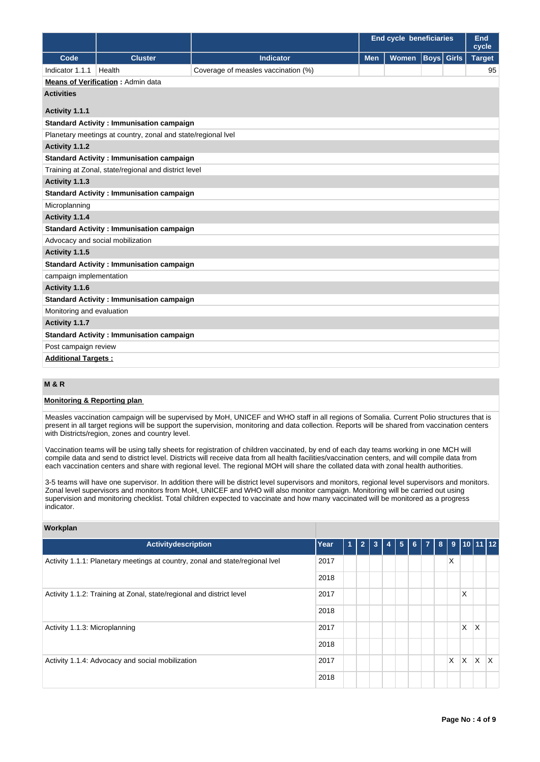|                            |                                                              |                                     | <b>End cycle beneficiaries</b> |       |  | End<br>cycle      |               |  |
|----------------------------|--------------------------------------------------------------|-------------------------------------|--------------------------------|-------|--|-------------------|---------------|--|
| Code                       | <b>Cluster</b>                                               | <b>Indicator</b>                    | <b>Men</b>                     | Women |  | <b>Boys</b> Girls | <b>Target</b> |  |
| Indicator 1.1.1            | Health                                                       | Coverage of measles vaccination (%) |                                |       |  |                   | 95            |  |
|                            | <b>Means of Verification: Admin data</b>                     |                                     |                                |       |  |                   |               |  |
| <b>Activities</b>          |                                                              |                                     |                                |       |  |                   |               |  |
| Activity 1.1.1             |                                                              |                                     |                                |       |  |                   |               |  |
|                            | <b>Standard Activity: Immunisation campaign</b>              |                                     |                                |       |  |                   |               |  |
|                            | Planetary meetings at country, zonal and state/regional lvel |                                     |                                |       |  |                   |               |  |
| Activity 1.1.2             |                                                              |                                     |                                |       |  |                   |               |  |
|                            | <b>Standard Activity: Immunisation campaign</b>              |                                     |                                |       |  |                   |               |  |
|                            | Training at Zonal, state/regional and district level         |                                     |                                |       |  |                   |               |  |
| Activity 1.1.3             |                                                              |                                     |                                |       |  |                   |               |  |
|                            | <b>Standard Activity : Immunisation campaign</b>             |                                     |                                |       |  |                   |               |  |
| Microplanning              |                                                              |                                     |                                |       |  |                   |               |  |
| Activity 1.1.4             |                                                              |                                     |                                |       |  |                   |               |  |
|                            | <b>Standard Activity: Immunisation campaign</b>              |                                     |                                |       |  |                   |               |  |
|                            | Advocacy and social mobilization                             |                                     |                                |       |  |                   |               |  |
| Activity 1.1.5             |                                                              |                                     |                                |       |  |                   |               |  |
|                            | <b>Standard Activity: Immunisation campaign</b>              |                                     |                                |       |  |                   |               |  |
| campaign implementation    |                                                              |                                     |                                |       |  |                   |               |  |
| Activity 1.1.6             |                                                              |                                     |                                |       |  |                   |               |  |
|                            | <b>Standard Activity: Immunisation campaign</b>              |                                     |                                |       |  |                   |               |  |
|                            | Monitoring and evaluation                                    |                                     |                                |       |  |                   |               |  |
| Activity 1.1.7             |                                                              |                                     |                                |       |  |                   |               |  |
|                            | <b>Standard Activity: Immunisation campaign</b>              |                                     |                                |       |  |                   |               |  |
| Post campaign review       |                                                              |                                     |                                |       |  |                   |               |  |
| <b>Additional Targets:</b> |                                                              |                                     |                                |       |  |                   |               |  |

# **M & R**

## **Monitoring & Reporting plan**

Measles vaccination campaign will be supervised by MoH, UNICEF and WHO staff in all regions of Somalia. Current Polio structures that is present in all target regions will be support the supervision, monitoring and data collection. Reports will be shared from vaccination centers with Districts/region, zones and country level.

Vaccination teams will be using tally sheets for registration of children vaccinated, by end of each day teams working in one MCH will compile data and send to district level. Districts will receive data from all health facilities/vaccination centers, and will compile data from each vaccination centers and share with regional level. The regional MOH will share the collated data with zonal health authorities.

3-5 teams will have one supervisor. In addition there will be district level supervisors and monitors, regional level supervisors and monitors. Zonal level supervisors and monitors from MoH, UNICEF and WHO will also monitor campaign. Monitoring will be carried out using supervision and monitoring checklist. Total children expected to vaccinate and how many vaccinated will be monitored as a progress indicator.

| Workplan                                                                     |      |   |                |   |   |   |   |                |   |    |   |                    |              |
|------------------------------------------------------------------------------|------|---|----------------|---|---|---|---|----------------|---|----|---|--------------------|--------------|
| Activitydescription                                                          | Year | 1 | $\overline{2}$ | 3 | 4 | 5 | 6 | $\overline{7}$ | 8 | 9  |   | 10  11   <u>12</u> |              |
| Activity 1.1.1: Planetary meetings at country, zonal and state/regional Ivel | 2017 |   |                |   |   |   |   |                |   | X  |   |                    |              |
|                                                                              | 2018 |   |                |   |   |   |   |                |   |    |   |                    |              |
| Activity 1.1.2: Training at Zonal, state/regional and district level         | 2017 |   |                |   |   |   |   |                |   |    | X |                    |              |
|                                                                              | 2018 |   |                |   |   |   |   |                |   |    |   |                    |              |
| Activity 1.1.3: Microplanning                                                | 2017 |   |                |   |   |   |   |                |   |    | X | $\times$           |              |
|                                                                              | 2018 |   |                |   |   |   |   |                |   |    |   |                    |              |
| Activity 1.1.4: Advocacy and social mobilization                             | 2017 |   |                |   |   |   |   |                |   | X. | X | X                  | $\mathsf{x}$ |
|                                                                              | 2018 |   |                |   |   |   |   |                |   |    |   |                    |              |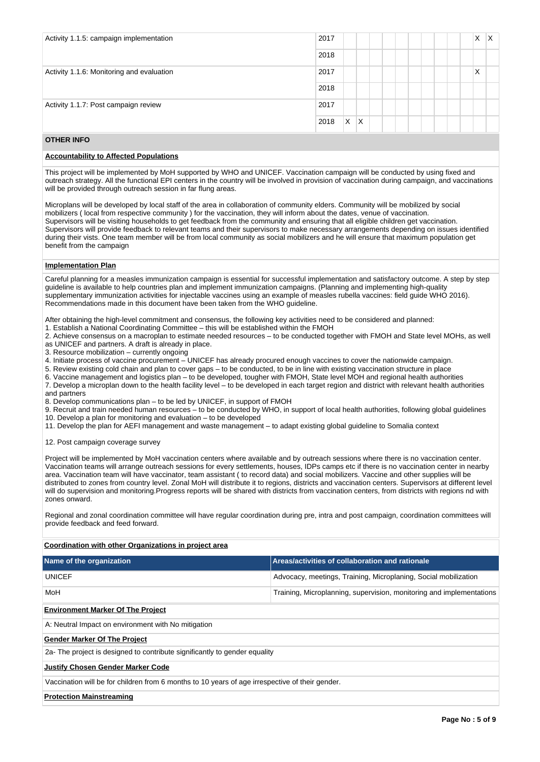| Activity 1.1.5: campaign implementation   | X<br>2017        | X |
|-------------------------------------------|------------------|---|
|                                           | 2018             |   |
| Activity 1.1.6: Monitoring and evaluation | X<br>2017        |   |
|                                           | 2018             |   |
| Activity 1.1.7: Post campaign review      | 2017             |   |
|                                           | X.<br>ΙX<br>2018 |   |

## **OTHER INFO**

### **Accountability to Affected Populations**

This project will be implemented by MoH supported by WHO and UNICEF. Vaccination campaign will be conducted by using fixed and outreach strategy. All the functional EPI centers in the country will be involved in provision of vaccination during campaign, and vaccinations will be provided through outreach session in far flung areas.

Microplans will be developed by local staff of the area in collaboration of community elders. Community will be mobilized by social mobilizers ( local from respective community ) for the vaccination, they will inform about the dates, venue of vaccination. Supervisors will be visiting households to get feedback from the community and ensuring that all eligible children get vaccination. Supervisors will provide feedback to relevant teams and their supervisors to make necessary arrangements depending on issues identified during their vists. One team member will be from local community as social mobilizers and he will ensure that maximum population get benefit from the campaign

#### **Implementation Plan**

Careful planning for a measles immunization campaign is essential for successful implementation and satisfactory outcome. A step by step guideline is available to help countries plan and implement immunization campaigns. (Planning and implementing high-quality supplementary immunization activities for injectable vaccines using an example of measles rubella vaccines: field guide WHO 2016). Recommendations made in this document have been taken from the WHO guideline.

After obtaining the high-level commitment and consensus, the following key activities need to be considered and planned:

1. Establish a National Coordinating Committee – this will be established within the FMOH

2. Achieve consensus on a macroplan to estimate needed resources – to be conducted together with FMOH and State level MOHs, as well as UNICEF and partners. A draft is already in place.

3. Resource mobilization – currently ongoing

4. Initiate process of vaccine procurement – UNICEF has already procured enough vaccines to cover the nationwide campaign.

5. Review existing cold chain and plan to cover gaps – to be conducted, to be in line with existing vaccination structure in place

6. Vaccine management and logistics plan – to be developed, tougher with FMOH, State level MOH and regional health authorities

7. Develop a microplan down to the health facility level – to be developed in each target region and district with relevant health authorities and partners

8. Develop communications plan – to be led by UNICEF, in support of FMOH

9. Recruit and train needed human resources – to be conducted by WHO, in support of local health authorities, following global guidelines

10. Develop a plan for monitoring and evaluation – to be developed

11. Develop the plan for AEFI management and waste management – to adapt existing global guideline to Somalia context

12. Post campaign coverage survey

Project will be implemented by MoH vaccination centers where available and by outreach sessions where there is no vaccination center. Vaccination teams will arrange outreach sessions for every settlements, houses, IDPs camps etc if there is no vaccination center in nearby area. Vaccination team will have vaccinator, team assistant ( to record data) and social mobilizers. Vaccine and other supplies will be distributed to zones from country level. Zonal MoH will distribute it to regions, districts and vaccination centers. Supervisors at different level will do supervision and monitoring.Progress reports will be shared with districts from vaccination centers, from districts with regions nd with zones onward.

Regional and zonal coordination committee will have regular coordination during pre, intra and post campaign, coordination committees will provide feedback and feed forward.

**Coordination with other Organizations in project area**

| Name of the organization                                                                        | Areas/activities of collaboration and rationale                      |  |  |  |  |  |
|-------------------------------------------------------------------------------------------------|----------------------------------------------------------------------|--|--|--|--|--|
| <b>UNICEF</b>                                                                                   | Advocacy, meetings, Training, Microplaning, Social mobilization      |  |  |  |  |  |
| MoH                                                                                             | Training, Microplanning, supervision, monitoring and implementations |  |  |  |  |  |
| <b>Environment Marker Of The Project</b>                                                        |                                                                      |  |  |  |  |  |
| A: Neutral Impact on environment with No mitigation                                             |                                                                      |  |  |  |  |  |
| <b>Gender Marker Of The Project</b>                                                             |                                                                      |  |  |  |  |  |
| 2a- The project is designed to contribute significantly to gender equality                      |                                                                      |  |  |  |  |  |
| <b>Justify Chosen Gender Marker Code</b>                                                        |                                                                      |  |  |  |  |  |
| Vaccination will be for children from 6 months to 10 years of age irrespective of their gender. |                                                                      |  |  |  |  |  |
| <b>Protection Mainstreaming</b>                                                                 |                                                                      |  |  |  |  |  |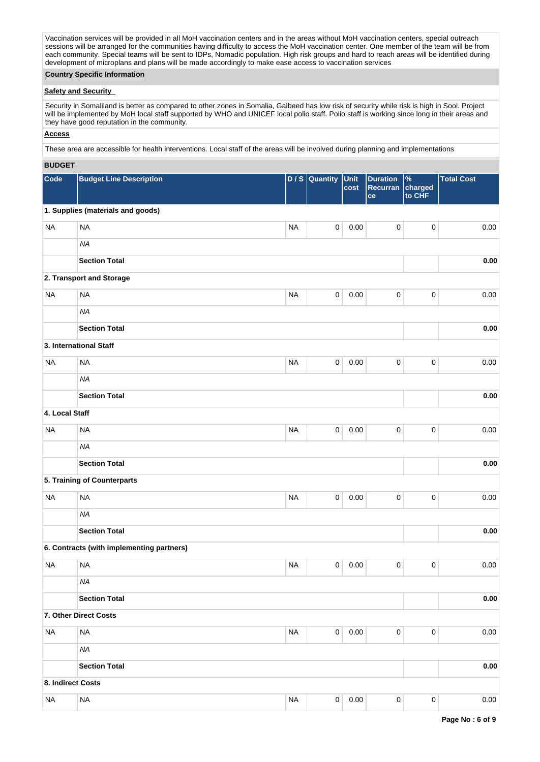Vaccination services will be provided in all MoH vaccination centers and in the areas without MoH vaccination centers, special outreach sessions will be arranged for the communities having difficulty to access the MoH vaccination center. One member of the team will be from each community. Special teams will be sent to IDPs, Nomadic population. High risk groups and hard to reach areas will be identified during development of microplans and plans will be made accordingly to make ease access to vaccination services

## **Country Specific Information**

### **Safety and Security**

Security in Somaliland is better as compared to other zones in Somalia, Galbeed has low risk of security while risk is high in Sool. Project will be implemented by MoH local staff supported by WHO and UNICEF local polio staff. Polio staff is working since long in their areas and they have good reputation in the community.

## **Access**

These area are accessible for health interventions. Local staff of the areas will be involved during planning and implementations

### **BUDGET**

| Code              | <b>Budget Line Description</b>            |           | D / S Quantity | Unit<br>cost | <b>Duration</b><br>Recurran<br>ce | %<br>charged<br>to CHF | <b>Total Cost</b> |
|-------------------|-------------------------------------------|-----------|----------------|--------------|-----------------------------------|------------------------|-------------------|
|                   | 1. Supplies (materials and goods)         |           |                |              |                                   |                        |                   |
| <b>NA</b>         | <b>NA</b>                                 | <b>NA</b> | $\pmb{0}$      | 0.00         | 0                                 | 0                      | 0.00              |
|                   | <b>NA</b>                                 |           |                |              |                                   |                        |                   |
|                   | <b>Section Total</b>                      |           |                |              |                                   |                        | 0.00              |
|                   | 2. Transport and Storage                  |           |                |              |                                   |                        |                   |
| <b>NA</b>         | <b>NA</b>                                 | <b>NA</b> | $\mathbf 0$    | 0.00         | $\mathbf 0$                       | $\pmb{0}$              | 0.00              |
|                   | <b>NA</b>                                 |           |                |              |                                   |                        |                   |
|                   | <b>Section Total</b>                      |           |                |              |                                   |                        | 0.00              |
|                   | 3. International Staff                    |           |                |              |                                   |                        |                   |
| <b>NA</b>         | <b>NA</b>                                 | <b>NA</b> | $\mathbf 0$    | 0.00         | $\mathbf 0$                       | $\pmb{0}$              | 0.00              |
|                   | <b>NA</b>                                 |           |                |              |                                   |                        |                   |
|                   | <b>Section Total</b>                      |           |                |              |                                   |                        | 0.00              |
| 4. Local Staff    |                                           |           |                |              |                                   |                        |                   |
| <b>NA</b>         | <b>NA</b>                                 | <b>NA</b> | $\mathsf 0$    | 0.00         | $\pmb{0}$                         | $\pmb{0}$              | 0.00              |
|                   | <b>NA</b>                                 |           |                |              |                                   |                        |                   |
|                   | <b>Section Total</b>                      |           |                |              |                                   |                        | 0.00              |
|                   | 5. Training of Counterparts               |           |                |              |                                   |                        |                   |
| <b>NA</b>         | <b>NA</b>                                 | <b>NA</b> | $\mathsf 0$    | 0.00         | $\mathbf 0$                       | $\pmb{0}$              | 0.00              |
|                   | <b>NA</b>                                 |           |                |              |                                   |                        |                   |
|                   | <b>Section Total</b>                      |           |                |              |                                   |                        | 0.00              |
|                   | 6. Contracts (with implementing partners) |           |                |              |                                   |                        |                   |
| <b>NA</b>         | <b>NA</b>                                 | <b>NA</b> | $\pmb{0}$      | 0.00         | 0                                 | $\pmb{0}$              | 0.00              |
|                   | <b>NA</b>                                 |           |                |              |                                   |                        |                   |
|                   | <b>Section Total</b>                      |           |                |              |                                   |                        | $0.00\,$          |
|                   | 7. Other Direct Costs                     |           |                |              |                                   |                        |                   |
| <b>NA</b>         | $\sf NA$                                  | <b>NA</b> | $\overline{0}$ | 0.00         | $\mathbf 0$                       | $\pmb{0}$              | 0.00              |
|                   | <b>NA</b>                                 |           |                |              |                                   |                        |                   |
|                   | <b>Section Total</b>                      |           |                |              |                                   |                        | $0.00\,$          |
| 8. Indirect Costs |                                           |           |                |              |                                   |                        |                   |
| <b>NA</b>         | $\sf NA$                                  | <b>NA</b> | $\pmb{0}$      | 0.00         | $\mathbf 0$                       | $\pmb{0}$              | 0.00              |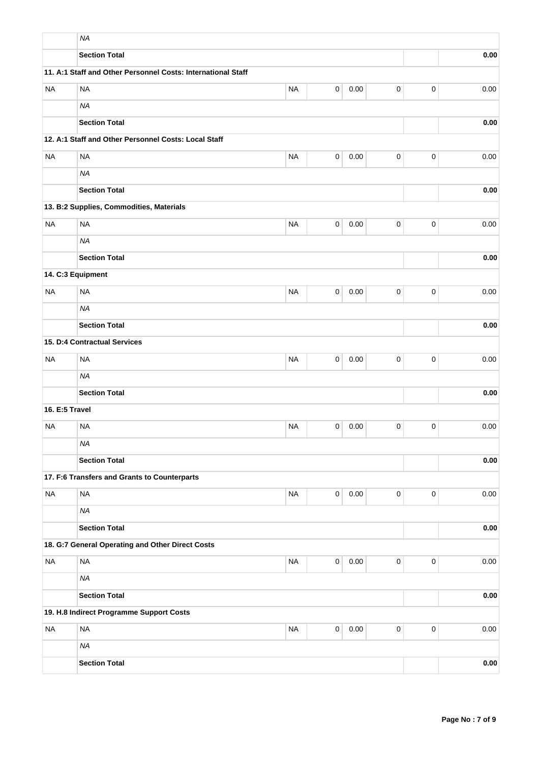|                | <b>NA</b>                                                    |           |                |          |             |             |      |
|----------------|--------------------------------------------------------------|-----------|----------------|----------|-------------|-------------|------|
|                | <b>Section Total</b>                                         |           |                |          |             |             | 0.00 |
|                | 11. A:1 Staff and Other Personnel Costs: International Staff |           |                |          |             |             |      |
| <b>NA</b>      | <b>NA</b>                                                    | <b>NA</b> | $\mathsf 0$    | 0.00     | 0           | $\mathbf 0$ | 0.00 |
|                | <b>NA</b>                                                    |           |                |          |             |             |      |
|                | <b>Section Total</b>                                         |           |                |          |             |             | 0.00 |
|                | 12. A:1 Staff and Other Personnel Costs: Local Staff         |           |                |          |             |             |      |
| <b>NA</b>      | <b>NA</b>                                                    | <b>NA</b> | $\mathsf 0$    | 0.00     | $\pmb{0}$   | $\mathbf 0$ | 0.00 |
|                | <b>NA</b>                                                    |           |                |          |             |             |      |
|                | <b>Section Total</b>                                         |           |                |          |             |             | 0.00 |
|                | 13. B:2 Supplies, Commodities, Materials                     |           |                |          |             |             |      |
| <b>NA</b>      | <b>NA</b>                                                    | <b>NA</b> | 0              | 0.00     | 0           | $\mathbf 0$ | 0.00 |
|                | <b>NA</b>                                                    |           |                |          |             |             |      |
|                | <b>Section Total</b>                                         |           |                |          |             |             | 0.00 |
|                | 14. C:3 Equipment                                            |           |                |          |             |             |      |
| <b>NA</b>      | <b>NA</b>                                                    | <b>NA</b> | 0              | 0.00     | $\pmb{0}$   | 0           | 0.00 |
|                | <b>NA</b>                                                    |           |                |          |             |             |      |
|                | <b>Section Total</b>                                         |           |                |          |             |             | 0.00 |
|                | 15. D:4 Contractual Services                                 |           |                |          |             |             |      |
| <b>NA</b>      | <b>NA</b>                                                    | <b>NA</b> | 0              | 0.00     | $\pmb{0}$   | $\mathbf 0$ | 0.00 |
|                | <b>NA</b>                                                    |           |                |          |             |             |      |
|                | <b>Section Total</b>                                         |           |                |          |             |             | 0.00 |
| 16. E:5 Travel |                                                              |           |                |          |             |             |      |
| <b>NA</b>      | <b>NA</b>                                                    | <b>NA</b> | 0              | 0.00     | 0           | $\mathbf 0$ | 0.00 |
|                | <b>NA</b>                                                    |           |                |          |             |             |      |
|                | <b>Section Total</b>                                         |           |                |          |             |             | 0.00 |
|                | 17. F:6 Transfers and Grants to Counterparts                 |           |                |          |             |             |      |
| <b>NA</b>      | <b>NA</b>                                                    | <b>NA</b> | $\overline{0}$ | 0.00     | 0           | $\mathbf 0$ | 0.00 |
|                | <b>NA</b>                                                    |           |                |          |             |             |      |
|                | <b>Section Total</b>                                         |           |                |          |             |             | 0.00 |
|                | 18. G:7 General Operating and Other Direct Costs             |           |                |          |             |             |      |
| <b>NA</b>      | <b>NA</b>                                                    | <b>NA</b> | $\overline{0}$ | 0.00     | $\mathbf 0$ | $\mathbf 0$ | 0.00 |
|                | <b>NA</b>                                                    |           |                |          |             |             |      |
|                | <b>Section Total</b>                                         |           |                |          |             |             | 0.00 |
|                | 19. H.8 Indirect Programme Support Costs                     |           |                |          |             |             |      |
| <b>NA</b>      | <b>NA</b>                                                    | <b>NA</b> | $\mathbf 0$    | $0.00\,$ | $\pmb{0}$   | $\mathbf 0$ | 0.00 |
|                | <b>NA</b>                                                    |           |                |          |             |             |      |
|                | <b>Section Total</b>                                         |           |                |          |             |             | 0.00 |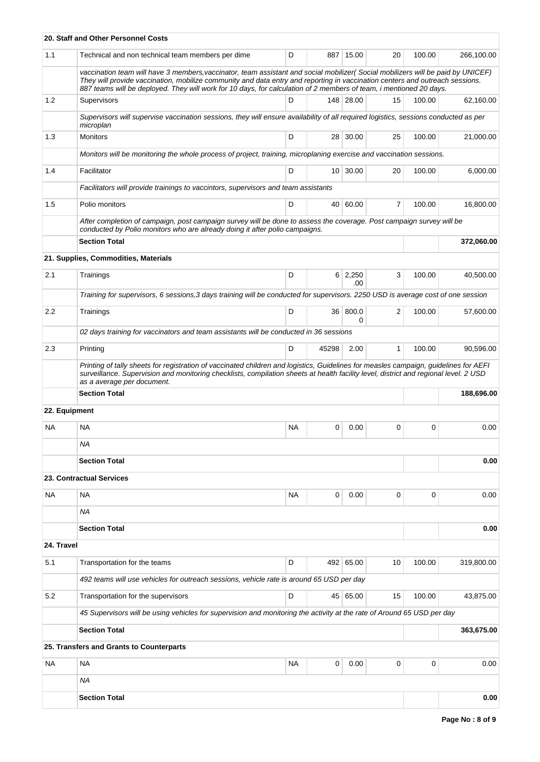|               | 20. Staff and Other Personnel Costs                                                                                                                                                                                                                                                                                                                                                   |           |           |                        |              |        |            |
|---------------|---------------------------------------------------------------------------------------------------------------------------------------------------------------------------------------------------------------------------------------------------------------------------------------------------------------------------------------------------------------------------------------|-----------|-----------|------------------------|--------------|--------|------------|
| 1.1           | Technical and non technical team members per dime                                                                                                                                                                                                                                                                                                                                     | D         |           | 887 15.00              | 20           | 100.00 | 266,100.00 |
|               | vaccination team will have 3 members, vaccinator, team assistant and social mobilizer(Social mobilizers will be paid by UNICEF)<br>They will provide vaccination, mobilize community and data entry and reporting in vaccination centers and outreach sessions.<br>887 teams will be deployed. They will work for 10 days, for calculation of 2 members of team, i mentioned 20 days. |           |           |                        |              |        |            |
| 1.2           | Supervisors                                                                                                                                                                                                                                                                                                                                                                           | D         |           | 148 28.00              | 15           | 100.00 | 62,160.00  |
|               | Supervisors will supervise vaccination sessions, they will ensure availability of all required logistics, sessions conducted as per<br>microplan                                                                                                                                                                                                                                      |           |           |                        |              |        |            |
| 1.3           | <b>Monitors</b>                                                                                                                                                                                                                                                                                                                                                                       | D         |           | 28 30.00               | 25           | 100.00 | 21,000.00  |
|               | Monitors will be monitoring the whole process of project, training, microplaning exercise and vaccination sessions.                                                                                                                                                                                                                                                                   |           |           |                        |              |        |            |
| 1.4           | Facilitator                                                                                                                                                                                                                                                                                                                                                                           | D         |           | 10 30.00               | 20           | 100.00 | 6,000.00   |
|               | Facilitators will provide trainings to vaccintors, supervisors and team assistants                                                                                                                                                                                                                                                                                                    |           |           |                        |              |        |            |
| 1.5           | Polio monitors                                                                                                                                                                                                                                                                                                                                                                        | 100.00    | 16,800.00 |                        |              |        |            |
|               | After completion of campaign, post campaign survey will be done to assess the coverage. Post campaign survey will be<br>conducted by Polio monitors who are already doing it after polio campaigns.                                                                                                                                                                                   |           |           |                        |              |        |            |
|               | <b>Section Total</b>                                                                                                                                                                                                                                                                                                                                                                  |           |           |                        |              |        | 372,060.00 |
|               | 21. Supplies, Commodities, Materials                                                                                                                                                                                                                                                                                                                                                  |           |           |                        |              |        |            |
| 2.1           | Trainings                                                                                                                                                                                                                                                                                                                                                                             | D         |           | $6 \mid 2,250$<br>.00. | 3            | 100.00 | 40,500.00  |
|               | Training for supervisors, 6 sessions, 3 days training will be conducted for supervisors. 2250 USD is average cost of one session                                                                                                                                                                                                                                                      |           |           |                        |              |        |            |
| 2.2           | Trainings                                                                                                                                                                                                                                                                                                                                                                             | D         | 36        | 800.0<br>0             | 2            | 100.00 | 57,600.00  |
|               | 02 days training for vaccinators and team assistants will be conducted in 36 sessions                                                                                                                                                                                                                                                                                                 |           |           |                        |              |        |            |
| 2.3           | Printing                                                                                                                                                                                                                                                                                                                                                                              | D         | 45298     | 2.00                   | $\mathbf{1}$ | 100.00 | 90,596.00  |
|               | Printing of tally sheets for registration of vaccinated children and logistics, Guidelines for measles campaign, guidelines for AEFI<br>surveillance. Supervision and monitoring checklists, compilation sheets at health facility level, district and regional level. 2 USD                                                                                                          |           |           |                        |              |        |            |
|               | as a average per document.<br><b>Section Total</b>                                                                                                                                                                                                                                                                                                                                    |           |           |                        |              |        | 188,696.00 |
| 22. Equipment |                                                                                                                                                                                                                                                                                                                                                                                       |           |           |                        |              |        |            |
| NА            | <b>NA</b>                                                                                                                                                                                                                                                                                                                                                                             | <b>NA</b> | 0         | 0.00                   | 0            | 0      | 0.00       |
|               | ΝA                                                                                                                                                                                                                                                                                                                                                                                    |           |           |                        |              |        |            |
|               | <b>Section Total</b>                                                                                                                                                                                                                                                                                                                                                                  |           |           |                        |              |        | 0.00       |
|               | 23. Contractual Services                                                                                                                                                                                                                                                                                                                                                              |           |           |                        |              |        |            |
|               |                                                                                                                                                                                                                                                                                                                                                                                       |           |           |                        |              |        |            |
| NA            | <b>NA</b>                                                                                                                                                                                                                                                                                                                                                                             | <b>NA</b> | 0         | 0.00                   | 0            | 0      | 0.00       |
|               | <b>NA</b>                                                                                                                                                                                                                                                                                                                                                                             |           |           |                        |              |        |            |
|               | <b>Section Total</b>                                                                                                                                                                                                                                                                                                                                                                  |           |           |                        |              |        | 0.00       |
| 24. Travel    |                                                                                                                                                                                                                                                                                                                                                                                       |           |           |                        |              |        |            |
| 5.1           | Transportation for the teams                                                                                                                                                                                                                                                                                                                                                          | D         |           | 492 65.00              | 10           | 100.00 | 319,800.00 |
|               | 492 teams will use vehicles for outreach sessions, vehicle rate is around 65 USD per day                                                                                                                                                                                                                                                                                              |           |           |                        |              |        |            |
| 5.2           | Transportation for the supervisors                                                                                                                                                                                                                                                                                                                                                    | D         |           | 45 65.00               | 15           | 100.00 | 43,875.00  |
|               | 45 Supervisors will be using vehicles for supervision and monitoring the activity at the rate of Around 65 USD per day                                                                                                                                                                                                                                                                |           |           |                        |              |        |            |
|               | <b>Section Total</b>                                                                                                                                                                                                                                                                                                                                                                  |           |           |                        |              |        | 363,675.00 |
|               | 25. Transfers and Grants to Counterparts                                                                                                                                                                                                                                                                                                                                              |           |           |                        |              |        |            |
| NA            | <b>NA</b>                                                                                                                                                                                                                                                                                                                                                                             | <b>NA</b> | 0         | 0.00                   | 0            | 0      | 0.00       |
|               | <b>NA</b>                                                                                                                                                                                                                                                                                                                                                                             |           |           |                        |              |        |            |
|               | <b>Section Total</b>                                                                                                                                                                                                                                                                                                                                                                  |           |           |                        |              |        | 0.00       |